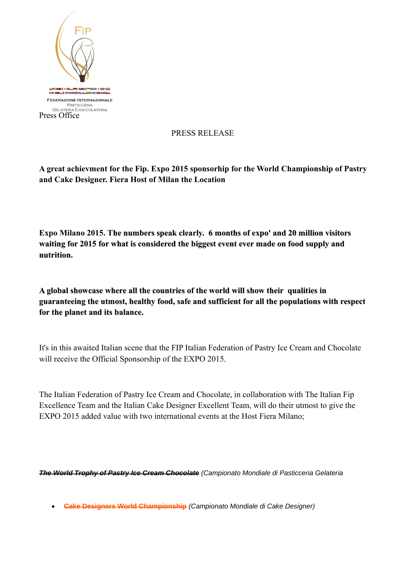

## PRESS RELEASE

**A great achievment for the Fip. Expo 2015 sponsorhip for the World Championship of Pastry and Cake Designer. Fiera Host of Milan the Location**

**Expo Milano 2015. The numbers speak clearly. 6 months of expo' and 20 million visitors waiting for 2015 for what is considered the biggest event ever made on food supply and nutrition.**

**A global showcase where all the countries of the world will show their qualities in guaranteeing the utmost, healthy food, safe and sufficient for all the populations with respect for the planet and its balance.**

It's in this awaited Italian scene that the FIP Italian Federation of Pastry Ice Cream and Chocolate will receive the Official Sponsorship of the EXPO 2015.

The Italian Federation of Pastry Ice Cream and Chocolate, in collaboration with The Italian Fip Excellence Team and the Italian Cake Designer Excellent Team, will do their utmost to give the EXPO 2015 added value with two international events at the Host Fiera Milano;

**[The World Trophy of Pastry Ice Cream Chocolate](http://www.campionatomondialepasticceria.it/)** (Campionato Mondiale di Pasticceria Gelateria

**[Cake Designers World Championship](http://www.campionatomondialecakedesigner.it/)** (Campionato Mondiale di Cake Designer)